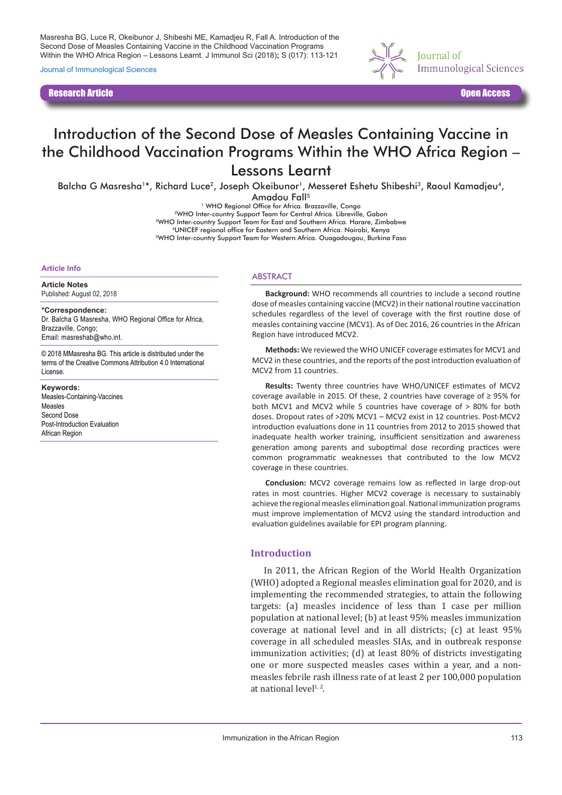Masresha BG, Luce R, Okeibunor J, Shibeshi ME, Kamadjeu R, Fall A. Introduction of the Second Dose of Measles Containing Vaccine in the Childhood Vaccination Programs Within the WHO Africa Region – Lessons Learnt. J Immunol Sci (2018)**;** S (017): 113-121

Journal of Immunological Sciences

Research Article Open Access



# Introduction of the Second Dose of Measles Containing Vaccine in the Childhood Vaccination Programs Within the WHO Africa Region – Lessons Learnt

Balcha G Masresha<sup>1\*</sup>, Richard Luce<sup>2</sup>, Joseph Okeibunor<sup>1</sup>, Messeret Eshetu Shibeshi<sup>3</sup>, Raoul Kamadjeu<sup>4</sup>,

Amadou Fall<sup>5</sup>

<sup>1</sup> WHO Regional Office for Africa. Brazzaville, Congo 2WHO Inter-country Support Team for Central Africa. Libreville, Gabon 3WHO Inter-country Support Team for East and Southern Africa. Harare, Zimbabwe 4UNICEF regional office for Eastern and Southern Africa. Nairobi, Kenya 5WHO Inter-country Support Team for Western Africa. Ouagadougou, Burkina Faso

#### **Article Info**

**Article Notes**

Published: August 02, 2018

**\*Correspondence:** Dr. Balcha G Masresha, WHO Regional Office for Africa, Brazzaville, Congo; Email: masreshab@who.int.

© 2018 MMasresha BG. This article is distributed under the terms of the Creative Commons Attribution 4.0 International License.

**Keywords:** Measles-Containing-Vaccines Measles Second Dose Post-Introduction Evaluation African Region

#### **ARSTRACT**

**Background:** WHO recommends all countries to include a second routine dose of measles containing vaccine (MCV2) in their national routine vaccination schedules regardless of the level of coverage with the first routine dose of measles containing vaccine (MCV1). As of Dec 2016, 26 countries in the African Region have introduced MCV2.

**Methods:** We reviewed the WHO UNICEF coverage estimates for MCV1 and MCV2 in these countries, and the reports of the post introduction evaluation of MCV2 from 11 countries.

**Results:** Twenty three countries have WHO/UNICEF estimates of MCV2 coverage available in 2015. Of these, 2 countries have coverage of ≥ 95% for both MCV1 and MCV2 while 5 countries have coverage of > 80% for both doses. Dropout rates of >20% MCV1 – MCV2 exist in 12 countries. Post-MCV2 introduction evaluations done in 11 countries from 2012 to 2015 showed that inadequate health worker training, insufficient sensitization and awareness generation among parents and suboptimal dose recording practices were common programmatic weaknesses that contributed to the low MCV2 coverage in these countries.

**Conclusion:** MCV2 coverage remains low as reflected in large drop-out rates in most countries. Higher MCV2 coverage is necessary to sustainably achieve the regional measles elimination goal. National immunization programs must improve implementation of MCV2 using the standard introduction and evaluation guidelines available for EPI program planning.

#### **Introduction**

In 2011, the African Region of the World Health Organization (WHO) adopted a Regional measles elimination goal for 2020, and is implementing the recommended strategies, to attain the following targets: (a) measles incidence of less than 1 case per million population at national level; (b) at least 95% measles immunization coverage at national level and in all districts; (c) at least 95% coverage in all scheduled measles SIAs, and in outbreak response immunization activities; (d) at least 80% of districts investigating one or more suspected measles cases within a year, and a nonmeasles febrile rash illness rate of at least 2 per 100,000 population at national level<sup>1, 2</sup>.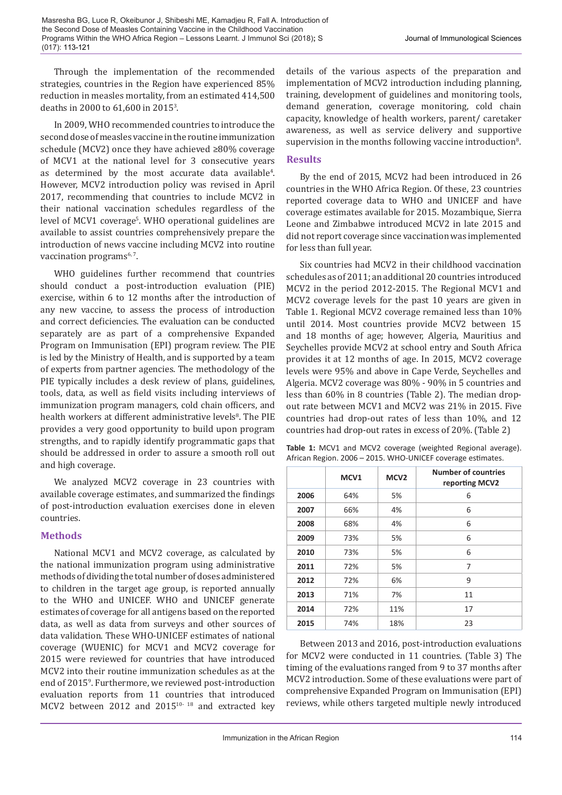Through the implementation of the recommended strategies, countries in the Region have experienced 85% reduction in measles mortality, from an estimated 414,500 deaths in 2000 to 61,600 in 20153 .

In 2009, WHO recommended countries to introduce the second dose of measles vaccine in the routine immunization schedule (MCV2) once they have achieved ≥80% coverage of MCV1 at the national level for 3 consecutive years as determined by the most accurate data available<sup>4</sup>. However, MCV2 introduction policy was revised in April 2017, recommending that countries to include MCV2 in their national vaccination schedules regardless of the level of MCV1 coverage<sup>s</sup>. WHO operational guidelines are available to assist countries comprehensively prepare the introduction of news vaccine including MCV2 into routine vaccination programs $6,7$ .

WHO guidelines further recommend that countries should conduct a post-introduction evaluation (PIE) exercise, within 6 to 12 months after the introduction of any new vaccine, to assess the process of introduction and correct deficiencies. The evaluation can be conducted separately are as part of a comprehensive Expanded Program on Immunisation (EPI) program review. The PIE is led by the Ministry of Health, and is supported by a team of experts from partner agencies. The methodology of the PIE typically includes a desk review of plans, guidelines, tools, data, as well as field visits including interviews of immunization program managers, cold chain officers, and health workers at different administrative levels<sup>8</sup>. The PIE provides a very good opportunity to build upon program strengths, and to rapidly identify programmatic gaps that should be addressed in order to assure a smooth roll out and high coverage.

We analyzed MCV2 coverage in 23 countries with available coverage estimates, and summarized the findings of post-introduction evaluation exercises done in eleven countries.

### **Methods**

National MCV1 and MCV2 coverage, as calculated by the national immunization program using administrative methods of dividing the total number of doses administered to children in the target age group, is reported annually to the WHO and UNICEF. WHO and UNICEF generate estimates of coverage for all antigens based on the reported data, as well as data from surveys and other sources of data validation. These WHO-UNICEF estimates of national coverage (WUENIC) for MCV1 and MCV2 coverage for 2015 were reviewed for countries that have introduced MCV2 into their routine immunization schedules as at the end of 20159 . Furthermore, we reviewed post-introduction evaluation reports from 11 countries that introduced MCV2 between 2012 and 2015<sup>10-18</sup> and extracted key

details of the various aspects of the preparation and implementation of MCV2 introduction including planning, training, development of guidelines and monitoring tools, demand generation, coverage monitoring, cold chain capacity, knowledge of health workers, parent/ caretaker awareness, as well as service delivery and supportive supervision in the months following vaccine introduction<sup>8</sup>.

### **Results**

By the end of 2015, MCV2 had been introduced in 26 countries in the WHO Africa Region. Of these, 23 countries reported coverage data to WHO and UNICEF and have coverage estimates available for 2015. Mozambique, Sierra Leone and Zimbabwe introduced MCV2 in late 2015 and did not report coverage since vaccination was implemented for less than full year.

Six countries had MCV2 in their childhood vaccination schedules as of 2011; an additional 20 countries introduced MCV2 in the period 2012-2015. The Regional MCV1 and MCV2 coverage levels for the past 10 years are given in Table 1. Regional MCV2 coverage remained less than 10% until 2014. Most countries provide MCV2 between 15 and 18 months of age; however, Algeria, Mauritius and Seychelles provide MCV2 at school entry and South Africa provides it at 12 months of age. In 2015, MCV2 coverage levels were 95% and above in Cape Verde, Seychelles and Algeria. MCV2 coverage was 80% - 90% in 5 countries and less than 60% in 8 countries (Table 2). The median dropout rate between MCV1 and MCV2 was 21% in 2015. Five countries had drop-out rates of less than 10%, and 12 countries had drop-out rates in excess of 20%. (Table 2)

|      | MCV <sub>1</sub> | MCV <sub>2</sub> | <b>Number of countries</b><br>reporting MCV2 |
|------|------------------|------------------|----------------------------------------------|
| 2006 | 64%              | 5%               | 6                                            |
| 2007 | 66%              | 4%               | 6                                            |
| 2008 | 68%              | 4%               | 6                                            |
| 2009 | 73%              | 5%               | 6                                            |
| 2010 | 73%              | 5%               | 6                                            |
| 2011 | 72%              | 5%               | 7                                            |
| 2012 | 72%              | 6%               | 9                                            |
| 2013 | 71%              | 7%               | 11                                           |
| 2014 | 72%              | 11%              | 17                                           |
| 2015 | 74%              | 18%              | 23                                           |

Table 1: MCV1 and MCV2 coverage (weighted Regional average). African Region. 2006 – 2015. WHO-UNICEF coverage estimates.

Between 2013 and 2016, post-introduction evaluations for MCV2 were conducted in 11 countries. (Table 3) The timing of the evaluations ranged from 9 to 37 months after MCV2 introduction. Some of these evaluations were part of comprehensive Expanded Program on Immunisation (EPI) reviews, while others targeted multiple newly introduced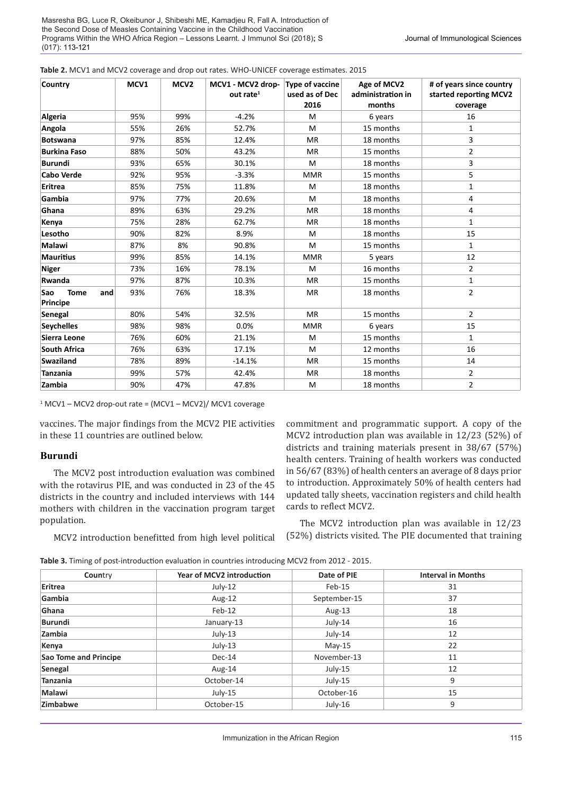| <b>Country</b>                        | MCV1 | MCV <sub>2</sub> | MCV1 - MCV2 drop-<br>out rate $1$ | <b>Type of vaccine</b><br>used as of Dec<br>2016 | Age of MCV2<br>administration in<br>months | # of years since country<br>started reporting MCV2<br>coverage |
|---------------------------------------|------|------------------|-----------------------------------|--------------------------------------------------|--------------------------------------------|----------------------------------------------------------------|
| Algeria                               | 95%  | 99%              | $-4.2%$                           | M                                                | 6 years                                    | 16                                                             |
| Angola                                | 55%  | 26%              | 52.7%                             | M                                                | 15 months                                  | $\mathbf{1}$                                                   |
| <b>Botswana</b>                       | 97%  | 85%              | 12.4%                             | <b>MR</b>                                        | 18 months                                  | 3                                                              |
| <b>Burkina Faso</b>                   | 88%  | 50%              | 43.2%                             | <b>MR</b>                                        | 15 months                                  | $\overline{2}$                                                 |
| <b>Burundi</b>                        | 93%  | 65%              | 30.1%                             | M                                                | 18 months                                  | 3                                                              |
| <b>Cabo Verde</b>                     | 92%  | 95%              | $-3.3%$                           | <b>MMR</b>                                       | 15 months                                  | 5                                                              |
| Eritrea                               | 85%  | 75%              | 11.8%                             | M                                                | 18 months                                  | 1                                                              |
| Gambia                                | 97%  | 77%              | 20.6%                             | M                                                | 18 months                                  | 4                                                              |
| Ghana                                 | 89%  | 63%              | 29.2%                             | <b>MR</b>                                        | 18 months                                  | 4                                                              |
| Kenya                                 | 75%  | 28%              | 62.7%                             | <b>MR</b>                                        | 18 months                                  | $\mathbf{1}$                                                   |
| Lesotho                               | 90%  | 82%              | 8.9%                              | M                                                | 18 months                                  | 15                                                             |
| Malawi                                | 87%  | 8%               | 90.8%                             | M                                                | 15 months                                  | $\mathbf{1}$                                                   |
| <b>Mauritius</b>                      | 99%  | 85%              | 14.1%                             | <b>MMR</b>                                       | 5 years                                    | 12                                                             |
| <b>Niger</b>                          | 73%  | 16%              | 78.1%                             | M                                                | 16 months                                  | $\overline{2}$                                                 |
| Rwanda                                | 97%  | 87%              | 10.3%                             | <b>MR</b>                                        | 15 months                                  | $\mathbf{1}$                                                   |
| Sao<br><b>Tome</b><br>and<br>Principe | 93%  | 76%              | 18.3%                             | <b>MR</b>                                        | 18 months                                  | $\overline{2}$                                                 |
| Senegal                               | 80%  | 54%              | 32.5%                             | <b>MR</b>                                        | 15 months                                  | $\overline{2}$                                                 |
| <b>Seychelles</b>                     | 98%  | 98%              | 0.0%                              | <b>MMR</b>                                       | 6 years                                    | 15                                                             |
| Sierra Leone                          | 76%  | 60%              | 21.1%                             | M                                                | 15 months                                  | $\mathbf{1}$                                                   |
| <b>South Africa</b>                   | 76%  | 63%              | 17.1%                             | M                                                | 12 months                                  | 16                                                             |
| Swaziland                             | 78%  | 89%              | $-14.1%$                          | <b>MR</b>                                        | 15 months                                  | 14                                                             |
| <b>Tanzania</b>                       | 99%  | 57%              | 42.4%                             | <b>MR</b>                                        | 18 months                                  | $\overline{2}$                                                 |
| Zambia                                | 90%  | 47%              | 47.8%                             | M                                                | 18 months                                  | $\overline{2}$                                                 |

|  |  |  |  |  |  | Table 2. MCV1 and MCV2 coverage and drop out rates. WHO-UNICEF coverage estimates. 2015 |  |  |  |
|--|--|--|--|--|--|-----------------------------------------------------------------------------------------|--|--|--|
|--|--|--|--|--|--|-----------------------------------------------------------------------------------------|--|--|--|

1 MCV1 – MCV2 drop-out rate = (MCV1 – MCV2)/ MCV1 coverage

vaccines. The major findings from the MCV2 PIE activities in these 11 countries are outlined below.

#### **Burundi**

The MCV2 post introduction evaluation was combined with the rotavirus PIE, and was conducted in 23 of the 45 districts in the country and included interviews with 144 mothers with children in the vaccination program target population.

MCV2 introduction benefitted from high level political

commitment and programmatic support. A copy of the MCV2 introduction plan was available in 12/23 (52%) of districts and training materials present in 38/67 (57%) health centers. Training of health workers was conducted in 56/67 (83%) of health centers an average of 8 days prior to introduction. Approximately 50% of health centers had updated tally sheets, vaccination registers and child health cards to reflect MCV2.

The MCV2 introduction plan was available in 12/23 (52%) districts visited. The PIE documented that training

**Table 3.** Timing of post-introduction evaluation in countries introducing MCV2 from 2012 - 2015.

| Country                      | <b>Year of MCV2 introduction</b> | Date of PIE  | <b>Interval in Months</b> |
|------------------------------|----------------------------------|--------------|---------------------------|
| Eritrea                      | July-12                          | Feb-15       | 31                        |
| Gambia                       | Aug-12                           | September-15 | 37                        |
| Ghana                        | Feb-12                           | Aug-13       | 18                        |
| <b>Burundi</b>               | January-13                       | July-14      | 16                        |
| Zambia                       | $July-13$                        | July-14      | 12                        |
| Kenya                        | July-13                          | $Mav-15$     | 22                        |
| <b>Sao Tome and Principe</b> | Dec-14                           | November-13  | 11                        |
| Senegal                      | Aug-14                           | $July-15$    | 12                        |
| <b>Tanzania</b>              | October-14                       | $July-15$    | 9                         |
| <b>Malawi</b>                | $July-15$                        | October-16   | 15                        |
| Zimbabwe                     | October-15                       | July-16      | 9                         |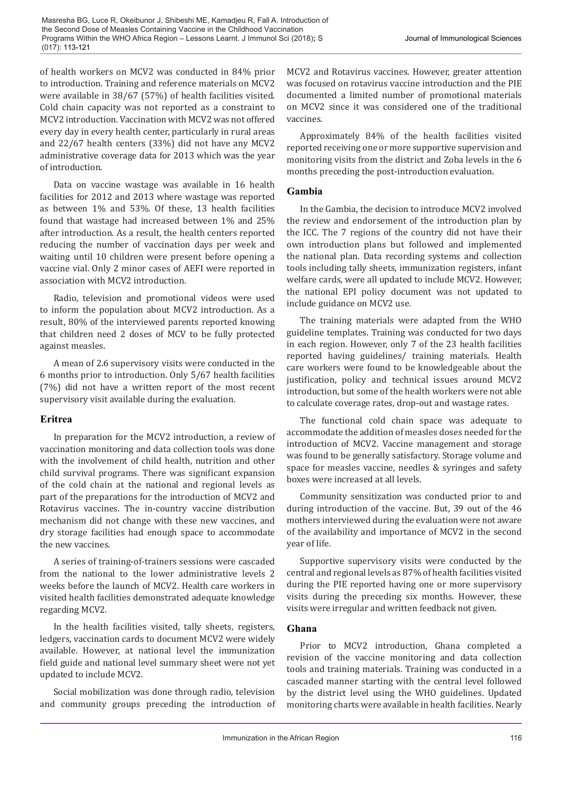of health workers on MCV2 was conducted in 84% prior to introduction. Training and reference materials on MCV2 were available in 38/67 (57%) of health facilities visited. Cold chain capacity was not reported as a constraint to MCV2 introduction. Vaccination with MCV2 was not offered every day in every health center, particularly in rural areas and 22/67 health centers (33%) did not have any MCV2 administrative coverage data for 2013 which was the year of introduction.

Data on vaccine wastage was available in 16 health facilities for 2012 and 2013 where wastage was reported as between 1% and 53%. Of these, 13 health facilities found that wastage had increased between 1% and 25% after introduction. As a result, the health centers reported reducing the number of vaccination days per week and waiting until 10 children were present before opening a vaccine vial. Only 2 minor cases of AEFI were reported in association with MCV2 introduction.

Radio, television and promotional videos were used to inform the population about MCV2 introduction. As a result, 80% of the interviewed parents reported knowing that children need 2 doses of MCV to be fully protected against measles.

A mean of 2.6 supervisory visits were conducted in the 6 months prior to introduction. Only 5/67 health facilities (7%) did not have a written report of the most recent supervisory visit available during the evaluation.

### **Eritrea**

In preparation for the MCV2 introduction, a review of vaccination monitoring and data collection tools was done with the involvement of child health, nutrition and other child survival programs. There was significant expansion of the cold chain at the national and regional levels as part of the preparations for the introduction of MCV2 and Rotavirus vaccines. The in-country vaccine distribution mechanism did not change with these new vaccines, and dry storage facilities had enough space to accommodate the new vaccines.

A series of training-of-trainers sessions were cascaded from the national to the lower administrative levels 2 weeks before the launch of MCV2. Health care workers in visited health facilities demonstrated adequate knowledge regarding MCV2.

In the health facilities visited, tally sheets, registers, ledgers, vaccination cards to document MCV2 were widely available. However, at national level the immunization field guide and national level summary sheet were not yet updated to include MCV2.

Social mobilization was done through radio, television and community groups preceding the introduction of MCV2 and Rotavirus vaccines. However, greater attention was focused on rotavirus vaccine introduction and the PIE documented a limited number of promotional materials on MCV2 since it was considered one of the traditional vaccines.

Approximately 84% of the health facilities visited reported receiving one or more supportive supervision and monitoring visits from the district and Zoba levels in the 6 months preceding the post-introduction evaluation.

### **Gambia**

In the Gambia, the decision to introduce MCV2 involved the review and endorsement of the introduction plan by the ICC. The 7 regions of the country did not have their own introduction plans but followed and implemented the national plan. Data recording systems and collection tools including tally sheets, immunization registers, infant welfare cards, were all updated to include MCV2. However, the national EPI policy document was not updated to include guidance on MCV2 use.

The training materials were adapted from the WHO guideline templates. Training was conducted for two days in each region. However, only 7 of the 23 health facilities reported having guidelines/ training materials. Health care workers were found to be knowledgeable about the justification, policy and technical issues around MCV2 introduction, but some of the health workers were not able to calculate coverage rates, drop-out and wastage rates.

The functional cold chain space was adequate to accommodate the addition of measles doses needed for the introduction of MCV2. Vaccine management and storage was found to be generally satisfactory. Storage volume and space for measles vaccine, needles & syringes and safety boxes were increased at all levels.

Community sensitization was conducted prior to and during introduction of the vaccine. But, 39 out of the 46 mothers interviewed during the evaluation were not aware of the availability and importance of MCV2 in the second year of life.

Supportive supervisory visits were conducted by the central and regional levels as 87% of health facilities visited during the PIE reported having one or more supervisory visits during the preceding six months. However, these visits were irregular and written feedback not given.

### **Ghana**

Prior to MCV2 introduction, Ghana completed a revision of the vaccine monitoring and data collection tools and training materials. Training was conducted in a cascaded manner starting with the central level followed by the district level using the WHO guidelines. Updated monitoring charts were available in health facilities. Nearly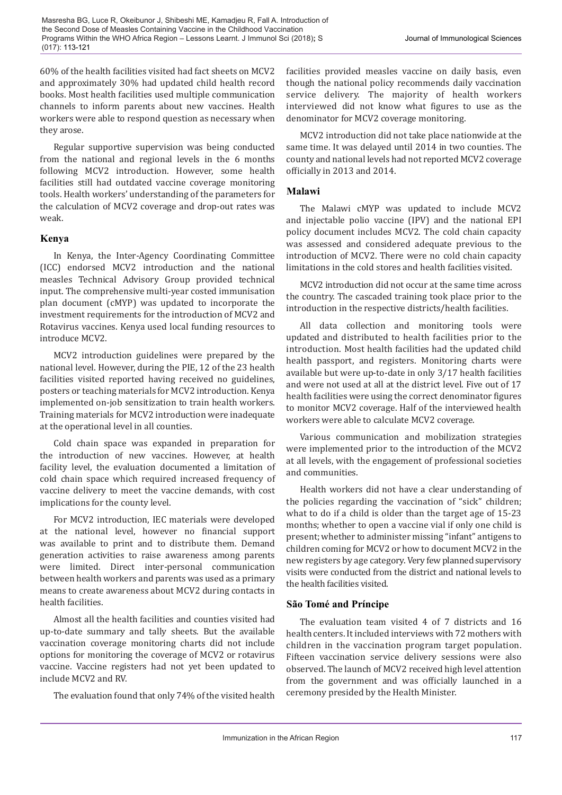60% of the health facilities visited had fact sheets on MCV2 and approximately 30% had updated child health record books. Most health facilities used multiple communication channels to inform parents about new vaccines. Health workers were able to respond question as necessary when they arose.

Regular supportive supervision was being conducted from the national and regional levels in the 6 months following MCV2 introduction. However, some health facilities still had outdated vaccine coverage monitoring tools. Health workers' understanding of the parameters for the calculation of MCV2 coverage and drop-out rates was weak.

### **Kenya**

In Kenya, the Inter-Agency Coordinating Committee (ICC) endorsed MCV2 introduction and the national measles Technical Advisory Group provided technical input. The comprehensive multi-year costed immunisation plan document (cMYP) was updated to incorporate the investment requirements for the introduction of MCV2 and Rotavirus vaccines. Kenya used local funding resources to introduce MCV2.

MCV2 introduction guidelines were prepared by the national level. However, during the PIE, 12 of the 23 health facilities visited reported having received no guidelines, posters or teaching materials for MCV2 introduction. Kenya implemented on-job sensitization to train health workers. Training materials for MCV2 introduction were inadequate at the operational level in all counties.

Cold chain space was expanded in preparation for the introduction of new vaccines. However, at health facility level, the evaluation documented a limitation of cold chain space which required increased frequency of vaccine delivery to meet the vaccine demands, with cost implications for the county level.

For MCV2 introduction, IEC materials were developed at the national level, however no financial support was available to print and to distribute them. Demand generation activities to raise awareness among parents were limited. Direct inter-personal communication between health workers and parents was used as a primary means to create awareness about MCV2 during contacts in health facilities.

Almost all the health facilities and counties visited had up-to-date summary and tally sheets. But the available vaccination coverage monitoring charts did not include options for monitoring the coverage of MCV2 or rotavirus vaccine. Vaccine registers had not yet been updated to include MCV2 and RV.

The evaluation found that only 74% of the visited health

facilities provided measles vaccine on daily basis, even though the national policy recommends daily vaccination service delivery. The majority of health workers interviewed did not know what figures to use as the denominator for MCV2 coverage monitoring.

MCV2 introduction did not take place nationwide at the same time. It was delayed until 2014 in two counties. The county and national levels had not reported MCV2 coverage officially in 2013 and 2014.

### **Malawi**

The Malawi cMYP was updated to include MCV2 and injectable polio vaccine (IPV) and the national EPI policy document includes MCV2. The cold chain capacity was assessed and considered adequate previous to the introduction of MCV2. There were no cold chain capacity limitations in the cold stores and health facilities visited.

MCV2 introduction did not occur at the same time across the country. The cascaded training took place prior to the introduction in the respective districts/health facilities.

All data collection and monitoring tools were updated and distributed to health facilities prior to the introduction. Most health facilities had the updated child health passport, and registers. Monitoring charts were available but were up-to-date in only 3/17 health facilities and were not used at all at the district level. Five out of 17 health facilities were using the correct denominator figures to monitor MCV2 coverage. Half of the interviewed health workers were able to calculate MCV2 coverage.

Various communication and mobilization strategies were implemented prior to the introduction of the MCV2 at all levels, with the engagement of professional societies and communities.

Health workers did not have a clear understanding of the policies regarding the vaccination of "sick" children; what to do if a child is older than the target age of 15-23 months; whether to open a vaccine vial if only one child is present; whether to administer missing "infant" antigens to children coming for MCV2 or how to document MCV2 in the new registers by age category. Very few planned supervisory visits were conducted from the district and national levels to the health facilities visited.

## **São Tomé and Príncipe**

The evaluation team visited 4 of 7 districts and 16 health centers. It included interviews with 72 mothers with children in the vaccination program target population. Fifteen vaccination service delivery sessions were also observed. The launch of MCV2 received high level attention from the government and was officially launched in a ceremony presided by the Health Minister.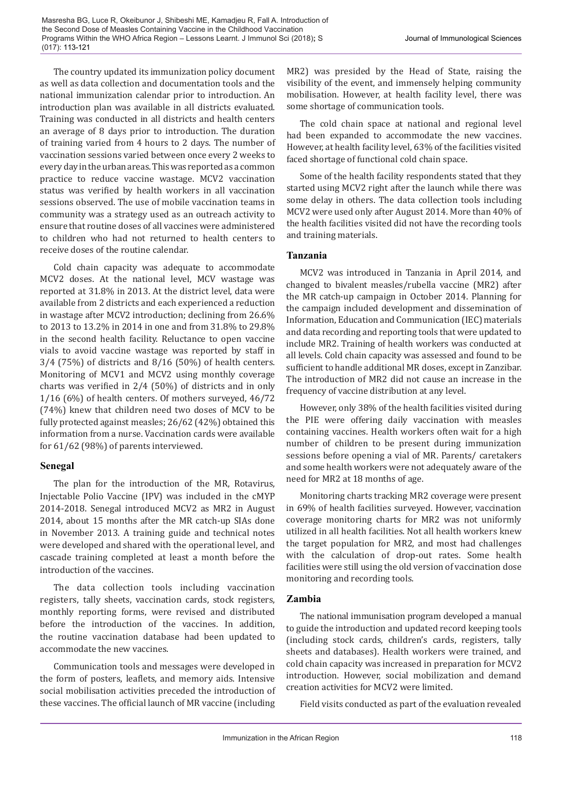Masresha BG, Luce R, Okeibunor J, Shibeshi ME, Kamadjeu R, Fall A. Introduction of the Second Dose of Measles Containing Vaccine in the Childhood Vaccination Programs Within the WHO Africa Region – Lessons Learnt. J Immunol Sci (2018)**;** S (017): 113-121

The country updated its immunization policy document as well as data collection and documentation tools and the national immunization calendar prior to introduction. An introduction plan was available in all districts evaluated. Training was conducted in all districts and health centers an average of 8 days prior to introduction. The duration of training varied from 4 hours to 2 days. The number of vaccination sessions varied between once every 2 weeks to every day in the urban areas. This was reported as a common practice to reduce vaccine wastage. MCV2 vaccination status was verified by health workers in all vaccination sessions observed. The use of mobile vaccination teams in community was a strategy used as an outreach activity to ensure that routine doses of all vaccines were administered to children who had not returned to health centers to receive doses of the routine calendar.

Cold chain capacity was adequate to accommodate MCV2 doses. At the national level, MCV wastage was reported at 31.8% in 2013. At the district level, data were available from 2 districts and each experienced a reduction in wastage after MCV2 introduction; declining from 26.6% to 2013 to 13.2% in 2014 in one and from 31.8% to 29.8% in the second health facility. Reluctance to open vaccine vials to avoid vaccine wastage was reported by staff in 3/4 (75%) of districts and 8/16 (50%) of health centers. Monitoring of MCV1 and MCV2 using monthly coverage charts was verified in 2/4 (50%) of districts and in only 1/16 (6%) of health centers. Of mothers surveyed, 46/72 (74%) knew that children need two doses of MCV to be fully protected against measles; 26/62 (42%) obtained this information from a nurse. Vaccination cards were available for 61/62 (98%) of parents interviewed.

#### **Senegal**

The plan for the introduction of the MR, Rotavirus, Injectable Polio Vaccine (IPV) was included in the cMYP 2014-2018. Senegal introduced MCV2 as MR2 in August 2014, about 15 months after the MR catch-up SIAs done in November 2013. A training guide and technical notes were developed and shared with the operational level, and cascade training completed at least a month before the introduction of the vaccines.

The data collection tools including vaccination registers, tally sheets, vaccination cards, stock registers, monthly reporting forms, were revised and distributed before the introduction of the vaccines. In addition, the routine vaccination database had been updated to accommodate the new vaccines.

Communication tools and messages were developed in the form of posters, leaflets, and memory aids. Intensive social mobilisation activities preceded the introduction of these vaccines. The official launch of MR vaccine (including MR2) was presided by the Head of State, raising the visibility of the event, and immensely helping community mobilisation. However, at health facility level, there was some shortage of communication tools.

The cold chain space at national and regional level had been expanded to accommodate the new vaccines. However, at health facility level, 63% of the facilities visited faced shortage of functional cold chain space.

Some of the health facility respondents stated that they started using MCV2 right after the launch while there was some delay in others. The data collection tools including MCV2 were used only after August 2014. More than 40% of the health facilities visited did not have the recording tools and training materials.

### **Tanzania**

MCV2 was introduced in Tanzania in April 2014, and changed to bivalent measles/rubella vaccine (MR2) after the MR catch-up campaign in October 2014. Planning for the campaign included development and dissemination of Information, Education and Communication (IEC) materials and data recording and reporting tools that were updated to include MR2. Training of health workers was conducted at all levels. Cold chain capacity was assessed and found to be sufficient to handle additional MR doses, except in Zanzibar. The introduction of MR2 did not cause an increase in the frequency of vaccine distribution at any level.

However, only 38% of the health facilities visited during the PIE were offering daily vaccination with measles containing vaccines. Health workers often wait for a high number of children to be present during immunization sessions before opening a vial of MR. Parents/ caretakers and some health workers were not adequately aware of the need for MR2 at 18 months of age.

Monitoring charts tracking MR2 coverage were present in 69% of health facilities surveyed. However, vaccination coverage monitoring charts for MR2 was not uniformly utilized in all health facilities. Not all health workers knew the target population for MR2, and most had challenges with the calculation of drop-out rates. Some health facilities were still using the old version of vaccination dose monitoring and recording tools.

#### **Zambia**

The national immunisation program developed a manual to guide the introduction and updated record keeping tools (including stock cards, children's cards, registers, tally sheets and databases). Health workers were trained, and cold chain capacity was increased in preparation for MCV2 introduction. However, social mobilization and demand creation activities for MCV2 were limited.

Field visits conducted as part of the evaluation revealed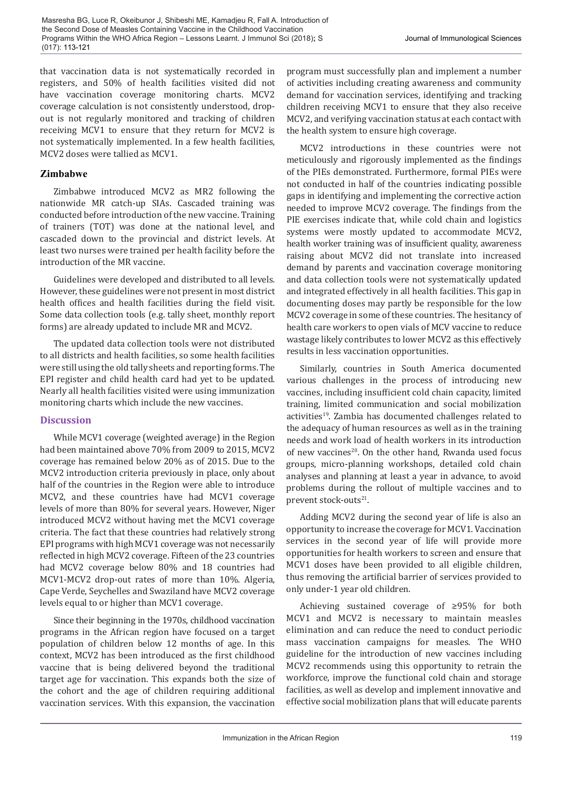that vaccination data is not systematically recorded in registers, and 50% of health facilities visited did not have vaccination coverage monitoring charts. MCV2 coverage calculation is not consistently understood, dropout is not regularly monitored and tracking of children receiving MCV1 to ensure that they return for MCV2 is not systematically implemented. In a few health facilities, MCV2 doses were tallied as MCV1.

### **Zimbabwe**

Zimbabwe introduced MCV2 as MR2 following the nationwide MR catch-up SIAs. Cascaded training was conducted before introduction of the new vaccine. Training of trainers (TOT) was done at the national level, and cascaded down to the provincial and district levels. At least two nurses were trained per health facility before the introduction of the MR vaccine.

Guidelines were developed and distributed to all levels. However, these guidelines were not present in most district health offices and health facilities during the field visit. Some data collection tools (e.g. tally sheet, monthly report forms) are already updated to include MR and MCV2.

The updated data collection tools were not distributed to all districts and health facilities, so some health facilities were still using the old tally sheets and reporting forms. The EPI register and child health card had yet to be updated. Nearly all health facilities visited were using immunization monitoring charts which include the new vaccines.

### **Discussion**

While MCV1 coverage (weighted average) in the Region had been maintained above 70% from 2009 to 2015, MCV2 coverage has remained below 20% as of 2015. Due to the MCV2 introduction criteria previously in place, only about half of the countries in the Region were able to introduce MCV2, and these countries have had MCV1 coverage levels of more than 80% for several years. However, Niger introduced MCV2 without having met the MCV1 coverage criteria. The fact that these countries had relatively strong EPI programs with high MCV1 coverage was not necessarily reflected in high MCV2 coverage. Fifteen of the 23 countries had MCV2 coverage below 80% and 18 countries had MCV1-MCV2 drop-out rates of more than 10%. Algeria, Cape Verde, Seychelles and Swaziland have MCV2 coverage levels equal to or higher than MCV1 coverage.

Since their beginning in the 1970s, childhood vaccination programs in the African region have focused on a target population of children below 12 months of age. In this context, MCV2 has been introduced as the first childhood vaccine that is being delivered beyond the traditional target age for vaccination. This expands both the size of the cohort and the age of children requiring additional vaccination services. With this expansion, the vaccination

program must successfully plan and implement a number of activities including creating awareness and community demand for vaccination services, identifying and tracking children receiving MCV1 to ensure that they also receive MCV2, and verifying vaccination status at each contact with the health system to ensure high coverage.

MCV2 introductions in these countries were not meticulously and rigorously implemented as the findings of the PIEs demonstrated. Furthermore, formal PIEs were not conducted in half of the countries indicating possible gaps in identifying and implementing the corrective action needed to improve MCV2 coverage. The findings from the PIE exercises indicate that, while cold chain and logistics systems were mostly updated to accommodate MCV2, health worker training was of insufficient quality, awareness raising about MCV2 did not translate into increased demand by parents and vaccination coverage monitoring and data collection tools were not systematically updated and integrated effectively in all health facilities. This gap in documenting doses may partly be responsible for the low MCV2 coverage in some of these countries. The hesitancy of health care workers to open vials of MCV vaccine to reduce wastage likely contributes to lower MCV2 as this effectively results in less vaccination opportunities.

Similarly, countries in South America documented various challenges in the process of introducing new vaccines, including insufficient cold chain capacity, limited training, limited communication and social mobilization activities<sup>19</sup>. Zambia has documented challenges related to the adequacy of human resources as well as in the training needs and work load of health workers in its introduction of new vaccines<sup>20</sup>. On the other hand, Rwanda used focus groups, micro-planning workshops, detailed cold chain analyses and planning at least a year in advance, to avoid problems during the rollout of multiple vaccines and to prevent stock-outs<sup>21</sup>.

Adding MCV2 during the second year of life is also an opportunity to increase the coverage for MCV1. Vaccination services in the second year of life will provide more opportunities for health workers to screen and ensure that MCV1 doses have been provided to all eligible children, thus removing the artificial barrier of services provided to only under-1 year old children.

Achieving sustained coverage of ≥95% for both MCV1 and MCV2 is necessary to maintain measles elimination and can reduce the need to conduct periodic mass vaccination campaigns for measles. The WHO guideline for the introduction of new vaccines including MCV2 recommends using this opportunity to retrain the workforce, improve the functional cold chain and storage facilities, as well as develop and implement innovative and effective social mobilization plans that will educate parents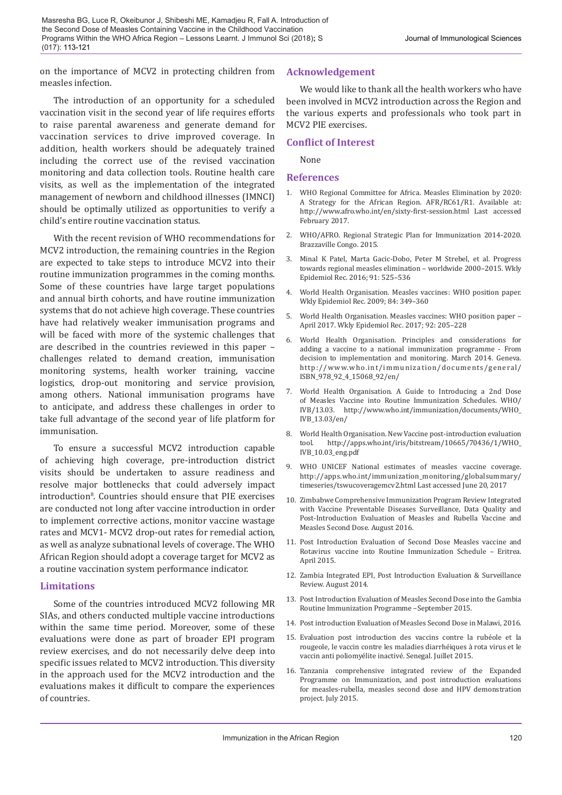on the importance of MCV2 in protecting children from measles infection.

The introduction of an opportunity for a scheduled vaccination visit in the second year of life requires efforts to raise parental awareness and generate demand for vaccination services to drive improved coverage. In addition, health workers should be adequately trained including the correct use of the revised vaccination monitoring and data collection tools. Routine health care visits, as well as the implementation of the integrated management of newborn and childhood illnesses (IMNCI) should be optimally utilized as opportunities to verify a child's entire routine vaccination status.

With the recent revision of WHO recommendations for MCV2 introduction, the remaining countries in the Region are expected to take steps to introduce MCV2 into their routine immunization programmes in the coming months. Some of these countries have large target populations and annual birth cohorts, and have routine immunization systems that do not achieve high coverage. These countries have had relatively weaker immunisation programs and will be faced with more of the systemic challenges that are described in the countries reviewed in this paper – challenges related to demand creation, immunisation monitoring systems, health worker training, vaccine logistics, drop-out monitoring and service provision, among others. National immunisation programs have to anticipate, and address these challenges in order to take full advantage of the second year of life platform for immunisation.

To ensure a successful MCV2 introduction capable of achieving high coverage, pre-introduction district visits should be undertaken to assure readiness and resolve major bottlenecks that could adversely impact introduction8 . Countries should ensure that PIE exercises are conducted not long after vaccine introduction in order to implement corrective actions, monitor vaccine wastage rates and MCV1- MCV2 drop-out rates for remedial action, as well as analyze subnational levels of coverage. The WHO African Region should adopt a coverage target for MCV2 as a routine vaccination system performance indicator.

#### **Limitations**

Some of the countries introduced MCV2 following MR SIAs, and others conducted multiple vaccine introductions within the same time period. Moreover, some of these evaluations were done as part of broader EPI program review exercises, and do not necessarily delve deep into specific issues related to MCV2 introduction. This diversity in the approach used for the MCV2 introduction and the evaluations makes it difficult to compare the experiences of countries.

### **Acknowledgement**

We would like to thank all the health workers who have been involved in MCV2 introduction across the Region and the various experts and professionals who took part in MCV2 PIE exercises.

### **Conflict of Interest**

None

#### **References**

- 1. WHO Regional Committee for Africa. Measles Elimination by 2020: A Strategy for the African Region. AFR/RC61/R1. Available at: http://www.afro.who.int/en/sixty-first-session.html Last accessed February 2017.
- 2. WHO/AFRO. Regional Strategic Plan for Immunization 2014-2020. Brazzaville Congo. 2015.
- 3. Minal K Patel, Marta Gacic-Dobo, Peter M Strebel, et al. Progress towards regional measles elimination – worldwide 2000–2015. Wkly Epidemiol Rec. 2016; 91: 525–536
- 4. World Health Organisation. Measles vaccines: WHO position paper. Wkly Epidemiol Rec. 2009; 84: 349–360
- 5. World Health Organisation. Measles vaccines: WHO position paper April 2017. Wkly Epidemiol Rec. 2017; 92: 205–228
- 6. World Health Organisation. Principles and considerations for adding a vaccine to a national immunization programme - From decision to implementation and monitoring. March 2014. Geneva. http://www.who.int/immunization/documents/general/ ISBN\_978\_92\_4\_15068\_92/en/
- 7. World Health Organisation. A Guide to Introducing a 2nd Dose of Measles Vaccine into Routine Immunization Schedules. WHO/ IVB/13.03. http://www.who.int/immunization/documents/WHO\_ IVB\_13.03/en/
- 8. World Health Organisation. New Vaccine post-introduction evaluation<br>tool. http://apps.who.int/iris/bitstream/10665/70436/1/WHO http://apps.who.int/iris/bitstream/10665/70436/1/WHO\_ IVB\_10.03\_eng.pdf
- 9. WHO UNICEF National estimates of measles vaccine coverage. http://apps.who.int/immunization\_monitoring/globalsummary/ timeseries/tswucoveragemcv2.html Last accessed June 20, 2017
- 10. Zimbabwe Comprehensive Immunization Program Review Integrated with Vaccine Preventable Diseases Surveillance, Data Quality and Post-Introduction Evaluation of Measles and Rubella Vaccine and Measles Second Dose. August 2016.
- 11. Post Introduction Evaluation of Second Dose Measles vaccine and Rotavirus vaccine into Routine Immunization Schedule – Eritrea. April 2015.
- 12. Zambia Integrated EPI, Post Introduction Evaluation & Surveillance Review. August 2014.
- 13. Post Introduction Evaluation of Measles Second Dose into the Gambia Routine Immunization Programme –September 2015.
- 14. Post introduction Evaluation of Measles Second Dose in Malawi, 2016.
- 15. Evaluation post introduction des vaccins contre la rubéole et la rougeole, le vaccin contre les maladies diarrhéiques à rota virus et le vaccin anti poliomyélite inactivé. Senegal. Juillet 2015.
- 16. Tanzania comprehensive integrated review of the Expanded Programme on Immunization, and post introduction evaluations for measles-rubella, measles second dose and HPV demonstration project. July 2015.